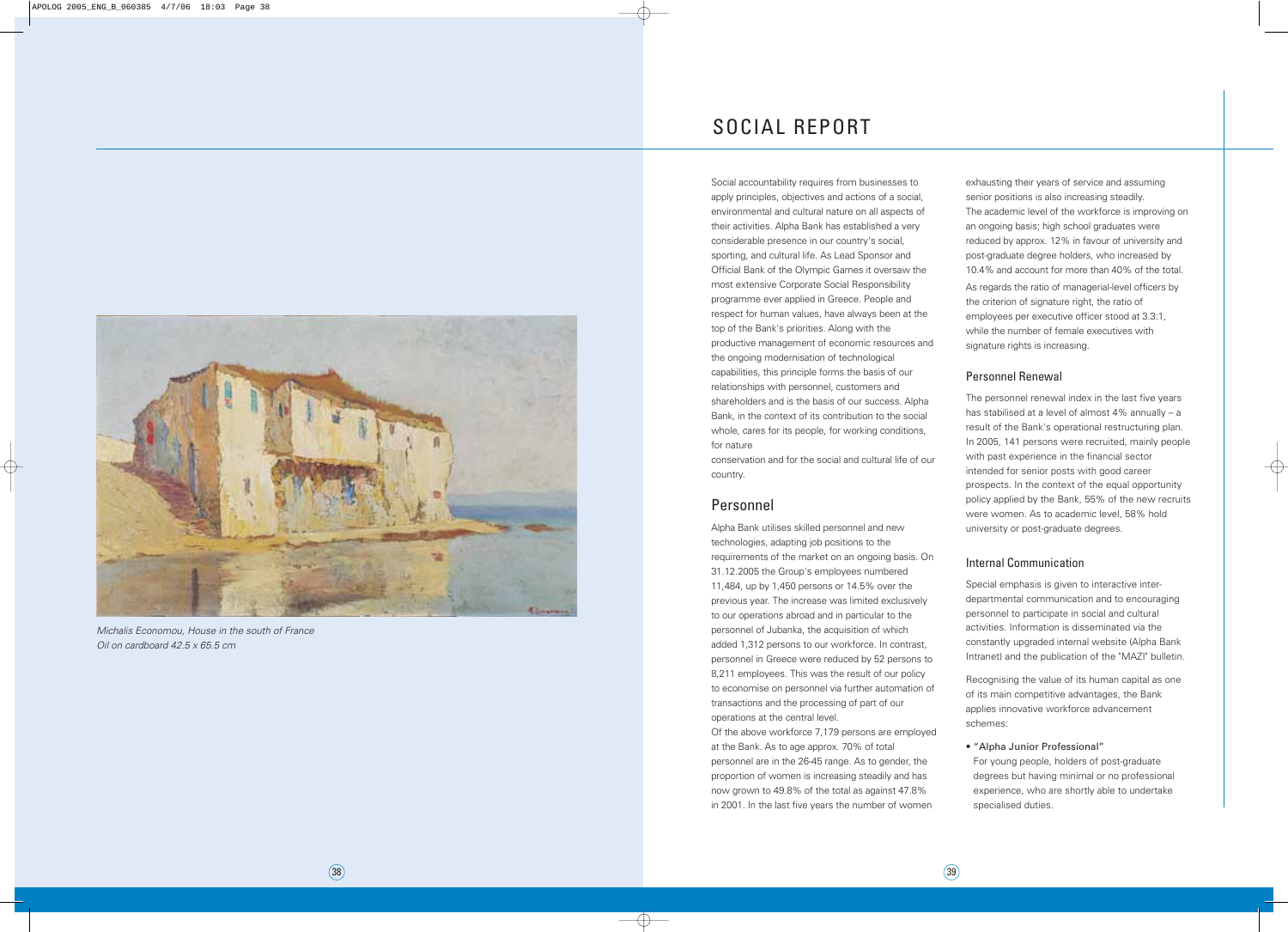Social accountability requires from businesses to apply principles, objectives and actions of a social, environmental and cultural nature on all aspects of their activities. Alpha Bank has established a very considerable presence in our country's social, sporting, and cultural life. As Lead Sponsor and Official Bank of the Olympic Games it oversaw the most extensive Corporate Social Responsibility programme ever applied in Greece. People and respect for human values, have always been at the top of the Bank's priorities. Along with the productive management of economic resources and the ongoing modernisation of technological capabilities, this principle forms the basis of our relationships with personnel, customers and shareholders and is the basis of our success. Alpha Bank, in the context of its contribution to the social whole, cares for its people, for working conditions, for nature

conservation and for the social and cultural life of our country.

### Personnel

Alpha Bank utilises skilled personnel and new technologies, adapting job positions to the requirements of the market on an ongoing basis. On 31.12.2005 the Group's employees numbered 11,484, up by 1,450 persons or 14.5% over the previous year. The increase was limited exclusively to our operations abroad and in particular to the personnel of Jubanka, the acquisition of which added 1,312 persons to our workforce. In contrast, personnel in Greece were reduced by 52 persons to 8,211 employees. This was the result of our policy to economise on personnel via further automation of transactions and the processing of part of our operations at the central level.

Of the above workforce 7,179 persons are employed at the Bank. As to age approx. 70% of total personnel are in the 26-45 range. As to gender, the proportion of women is increasing steadily and has now grown to 49.8% of the total as against 47.8% in 2001. In the last five years the number of women

exhausting their years of service and assuming senior positions is also increasing steadily. The academic level of the workforce is improving on an ongoing basis; high school graduates were reduced by approx. 12% in favour of university and post-graduate degree holders, who increased by 10.4% and account for more than 40% of the total. As regards the ratio of managerial-level officers by the criterion of signature right, the ratio of employees per executive officer stood at 3.3:1, while the number of female executives with signature rights is increasing.

#### Personnel Renewal

The personnel renewal index in the last five years has stabilised at a level of almost 4% annually – a result of the Bank's operational restructuring plan. In 2005, 141 persons were recruited, mainly people with past experience in the financial sector intended for senior posts with good career prospects. In the context of the equal opportunity policy applied by the Bank, 55% of the new recruits were women. As to academic level, 58% hold university or post-graduate degrees.

#### Internal Communication

Special emphasis is given to interactive interdepartmental communication and to encouraging personnel to participate in social and cultural activities. Information is disseminated via the constantly upgraded internal website (Alpha Bank Intranet) and the publication of the "MAZI" bulletin.

Recognising the value of its human capital as one of its main competitive advantages, the Bank applies innovative workforce advancement schemes:

#### • "Alpha Junior Professional"

For young people, holders of post-graduate degrees but having minimal or no professional experience, who are shortly able to undertake specialised duties.

# SOCIAL REPORT



Michalis Economou, House in the south of France Oil on cardboard 42.5 x 65.5 cm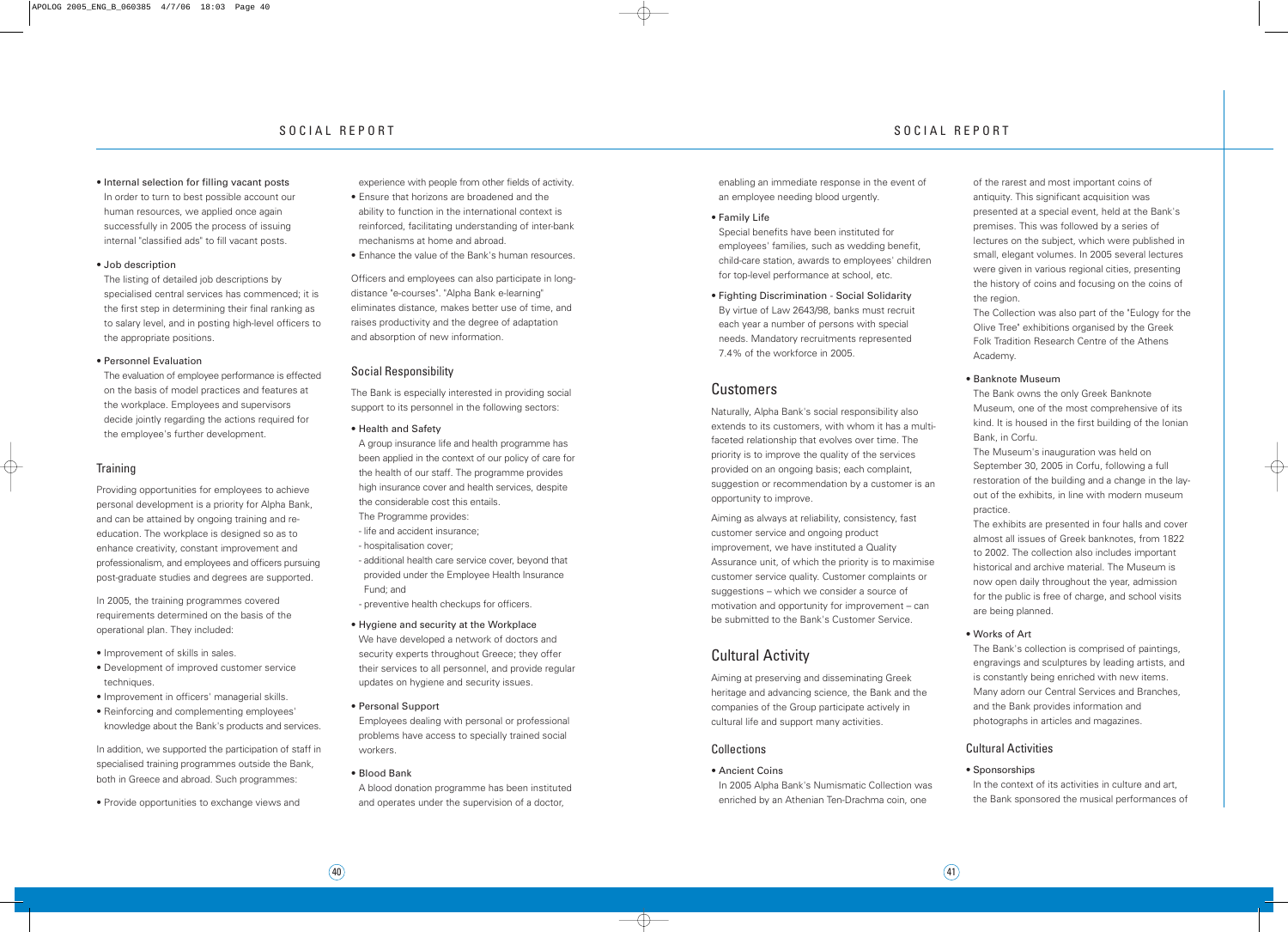enabling an immediate response in the event of an employee needing blood urgently.

• Family Life

Special benefits have been instituted for employees' families, such as wedding benefit, child-care station, awards to employees' children for top-level performance at school, etc.

• Fighting Discrimination - Social Solidarity By virtue of Law 2643/98, banks must recruit each year a number of persons with special needs. Mandatory recruitments represented 7.4% of the workforce in 2005.

## Customers

Naturally, Alpha Bank's social responsibility also extends to its customers, with whom it has a multifaceted relationship that evolves over time. The priority is to improve the quality of the services provided on an ongoing basis; each complaint, suggestion or recommendation by a customer is an opportunity to improve.

Aiming as always at reliability, consistency, fast customer service and ongoing product improvement, we have instituted a Quality Assurance unit, of which the priority is to maximise customer service quality. Customer complaints or suggestions – which we consider a source of motivation and opportunity for improvement – can be submitted to the Bank's Customer Service.

# Cultural Activity

Aiming at preserving and disseminating Greek heritage and advancing science, the Bank and the companies of the Group participate actively in cultural life and support many activities.

#### **Collections**

• Ancient Coins

In 2005 Alpha Bank's Numismatic Collection was enriched by an Athenian Ten-Drachma coin, one

In the context of its activities in culture and art, the Bank sponsored the musical performances of

of the rarest and most important coins of antiquity. This significant acquisition was presented at a special event, held at the Bank's premises. This was followed by a series of lectures on the subject, which were published in small, elegant volumes. In 2005 several lectures were given in various regional cities, presenting the history of coins and focusing on the coins of the region.

The Collection was also part of the "Eulogy for the Olive Tree" exhibitions organised by the Greek Folk Tradition Research Centre of the Athens Academy.

#### • Banknote Museum

The Bank owns the only Greek Banknote Museum, one of the most comprehensive of its kind. It is housed in the first building of the Ionian Bank, in Corfu.

The Museum's inauguration was held on September 30, 2005 in Corfu, following a full restoration of the building and a change in the layout of the exhibits, in line with modern museum practice.

In addition, we supported the participation of staff in specialised training programmes outside the Bank, both in Greece and abroad. Such programmes:

The exhibits are presented in four halls and cover almost all issues of Greek banknotes, from 1822 to 2002. The collection also includes important historical and archive material. The Museum is now open daily throughout the year, admission for the public is free of charge, and school visits are being planned.

#### • Works of Art

The Bank's collection is comprised of paintings, engravings and sculptures by leading artists, and is constantly being enriched with new items. Many adorn our Central Services and Branches, and the Bank provides information and photographs in articles and magazines.

#### Cultural Activities

#### • Sponsorships

• Internal selection for filling vacant posts In order to turn to best possible account our human resources, we applied once again successfully in 2005 the process of issuing internal "classified ads" to fill vacant posts.

#### • Job description

The listing of detailed job descriptions by specialised central services has commenced; it is the first step in determining their final ranking as to salary level, and in posting high-level officers to the appropriate positions.

#### • Personnel Evaluation

The evaluation of employee performance is effected on the basis of model practices and features at the workplace. Employees and supervisors decide jointly regarding the actions required for the employee's further development.

#### **Training**

Providing opportunities for employees to achieve personal development is a priority for Alpha Bank, and can be attained by ongoing training and reeducation. The workplace is designed so as to enhance creativity, constant improvement and professionalism, and employees and officers pursuing post-graduate studies and degrees are supported.

In 2005, the training programmes covered requirements determined on the basis of the operational plan. They included:

- Improvement of skills in sales.
- Development of improved customer service techniques.
- Improvement in officers' managerial skills.
- Reinforcing and complementing employees' knowledge about the Bank's products and services.

• Provide opportunities to exchange views and

experience with people from other fields of activity.

- Ensure that horizons are broadened and the ability to function in the international context is reinforced, facilitating understanding of inter-bank mechanisms at home and abroad.
- Enhance the value of the Bank's human resources.

Officers and employees can also participate in longdistance "e-courses". "Alpha Bank e-learning" eliminates distance, makes better use of time, and raises productivity and the degree of adaptation and absorption of new information.

#### Social Responsibility

The Bank is especially interested in providing social support to its personnel in the following sectors:

• Health and Safety

A group insurance life and health programme has been applied in the context of our policy of care for the health of our staff. The programme provides high insurance cover and health services, despite the considerable cost this entails.

- The Programme provides:
- life and accident insurance;
- hospitalisation cover;
- additional health care service cover, beyond that provided under the Employee Health Insurance Fund; and
- preventive health checkups for officers.
- Hygiene and security at the Workplace We have developed a network of doctors and security experts throughout Greece; they offer their services to all personnel, and provide regular updates on hygiene and security issues.
- Personal Support

Employees dealing with personal or professional problems have access to specially trained social workers.

• Blood Bank

A blood donation programme has been instituted and operates under the supervision of a doctor,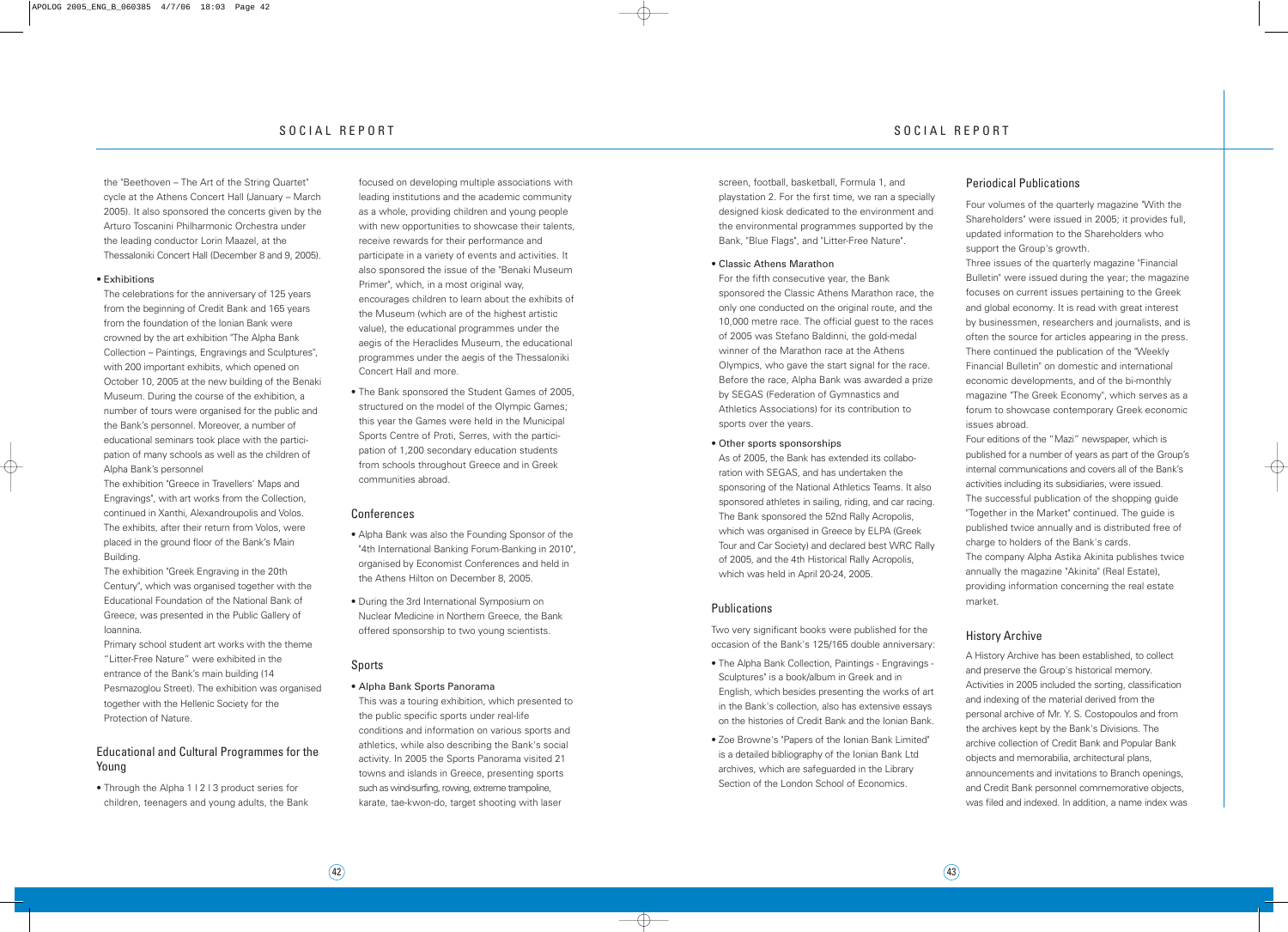screen, football, basketball, Formula 1, and playstation 2. For the first time, we ran a specially designed kiosk dedicated to the environment and the environmental programmes supported by the Bank, "Blue Flags", and "Litter-Free Nature".

#### • Classic Athens Marathon

For the fifth consecutive year, the Bank sponsored the Classic Athens Marathon race, the only one conducted on the original route, and the 10,000 metre race. The official guest to the races of 2005 was Stefano Baldinni, the gold-medal winner of the Marathon race at the Athens Olympics, who gave the start signal for the race. Before the race, Alpha Bank was awarded a prize by SEGAS (Federation of Gymnastics and Athletics Associations) for its contribution to sports over the years.

#### • Other sports sponsorships

As of 2005, the Bank has extended its collaboration with SEGAS, and has undertaken the sponsoring of the National Athletics Teams. It also sponsored athletes in sailing, riding, and car racing. The Bank sponsored the 52nd Rally Acropolis, which was organised in Greece by ELPA (Greek Tour and Car Society) and declared best WRC Rally of 2005, and the 4th Historical Rally Acropolis, which was held in April 20-24, 2005.

#### **Publications**

Two very significant books were published for the occasion of the Bank's 125/165 double anniversary:

- The Alpha Bank Collection, Paintings Engravings Sculptures" is a book/album in Greek and in English, which besides presenting the works of art in the Bank's collection, also has extensive essays on the histories of Credit Bank and the Ionian Bank.
- Zoe Browne's "Papers of the Ionian Bank Limited" is a detailed bibliography of the Ionian Bank Ltd archives, which are safeguarded in the Library Section of the London School of Economics.

#### Periodical Publications

Four volumes of the quarterly magazine "With the Shareholders" were issued in 2005; it provides full, updated information to the Shareholders who support the Group's growth.

Three issues of the quarterly magazine "Financial Bulletin" were issued during the year; the magazine focuses on current issues pertaining to the Greek and global economy. It is read with great interest by businessmen, researchers and journalists, and is often the source for articles appearing in the press. There continued the publication of the "Weekly Financial Bulletin" on domestic and international economic developments, and of the bi-monthly magazine "The Greek Economy", which serves as a forum to showcase contemporary Greek economic issues abroad.

• Through the Alpha 1 | 2 | 3 product series for children, teenagers and young adults, the Bank Four editions of the "Mazi" newspaper, which is published for a number of years as part of the Group's internal communications and covers all of the Bank's activities including its subsidiaries, were issued. The successful publication of the shopping guide "Together in the Market" continued. The guide is published twice annually and is distributed free of charge to holders of the Bank's cards. The company Alpha Astika Akinita publishes twice

annually the magazine "Akinita" (Real Estate), providing information concerning the real estate market.

#### History Archive

A History Archive has been established, to collect and preserve the Group's historical memory. Activities in 2005 included the sorting, classification and indexing of the material derived from the personal archive of Mr. Y. S. Costopoulos and from the archives kept by the Bank's Divisions. The archive collection of Credit Bank and Popular Bank objects and memorabilia, architectural plans, announcements and invitations to Branch openings, and Credit Bank personnel commemorative objects, was filed and indexed. In addition, a name index was

the "Beethoven – The Art of the String Quartet" cycle at the Athens Concert Hall (January – March 2005). It also sponsored the concerts given by the Arturo Toscanini Philharmonic Orchestra under the leading conductor Lorin Maazel, at the Thessaloniki Concert Hall (December 8 and 9, 2005).

#### • Exhibitions

The celebrations for the anniversary of 125 years from the beginning of Credit Bank and 165 years from the foundation of the Ionian Bank were crowned by the art exhibition "The Alpha Bank Collection – Paintings, Engravings and Sculptures", with 200 important exhibits, which opened on October 10, 2005 at the new building of the Benaki Museum. During the course of the exhibition, a number of tours were organised for the public and the Bank's personnel. Moreover, a number of educational seminars took place with the participation of many schools as well as the children of Alpha Bank's personnel

The exhibition "Greece in Travellers' Maps and Engravings", with art works from the Collection, continued in Xanthi, Alexandroupolis and Volos. The exhibits, after their return from Volos, were placed in the ground floor of the Bank's Main Building.

The exhibition "Greek Engraving in the 20th Century", which was organised together with the Educational Foundation of the National Bank of Greece, was presented in the Public Gallery of Ioannina.

Primary school student art works with the theme "Litter-Free Nature" were exhibited in the entrance of the Bank's main building (14 Pesmazoglou Street). The exhibition was organised together with the Hellenic Society for the Protection of Nature.

#### Educational and Cultural Programmes for the Young

focused on developing multiple associations with leading institutions and the academic community as a whole, providing children and young people with new opportunities to showcase their talents, receive rewards for their performance and participate in a variety of events and activities. It also sponsored the issue of the "Benaki Museum Primer", which, in a most original way. encourages children to learn about the exhibits of the Museum (which are of the highest artistic value), the educational programmes under the aegis of the Heraclides Museum, the educational programmes under the aegis of the Thessaloniki Concert Hall and more.

• The Bank sponsored the Student Games of 2005, structured on the model of the Olympic Games; this year the Games were held in the Municipal Sports Centre of Proti, Serres, with the participation of 1,200 secondary education students from schools throughout Greece and in Greek communities abroad.

#### Conferences

- Alpha Bank was also the Founding Sponsor of the "4th International Banking Forum-Banking in 2010", organised by Economist Conferences and held in the Athens Hilton on December 8, 2005.
- During the 3rd International Symposium on Nuclear Medicine in Northern Greece, the Bank offered sponsorship to two young scientists.

#### Sports

#### • Alpha Bank Sports Panorama

This was a touring exhibition, which presented to the public specific sports under real-life conditions and information on various sports and athletics, while also describing the Bank's social activity. In 2005 the Sports Panorama visited 21 towns and islands in Greece, presenting sports such as wind-surfing, rowing, extreme trampoline, karate, tae-kwon-do, target shooting with laser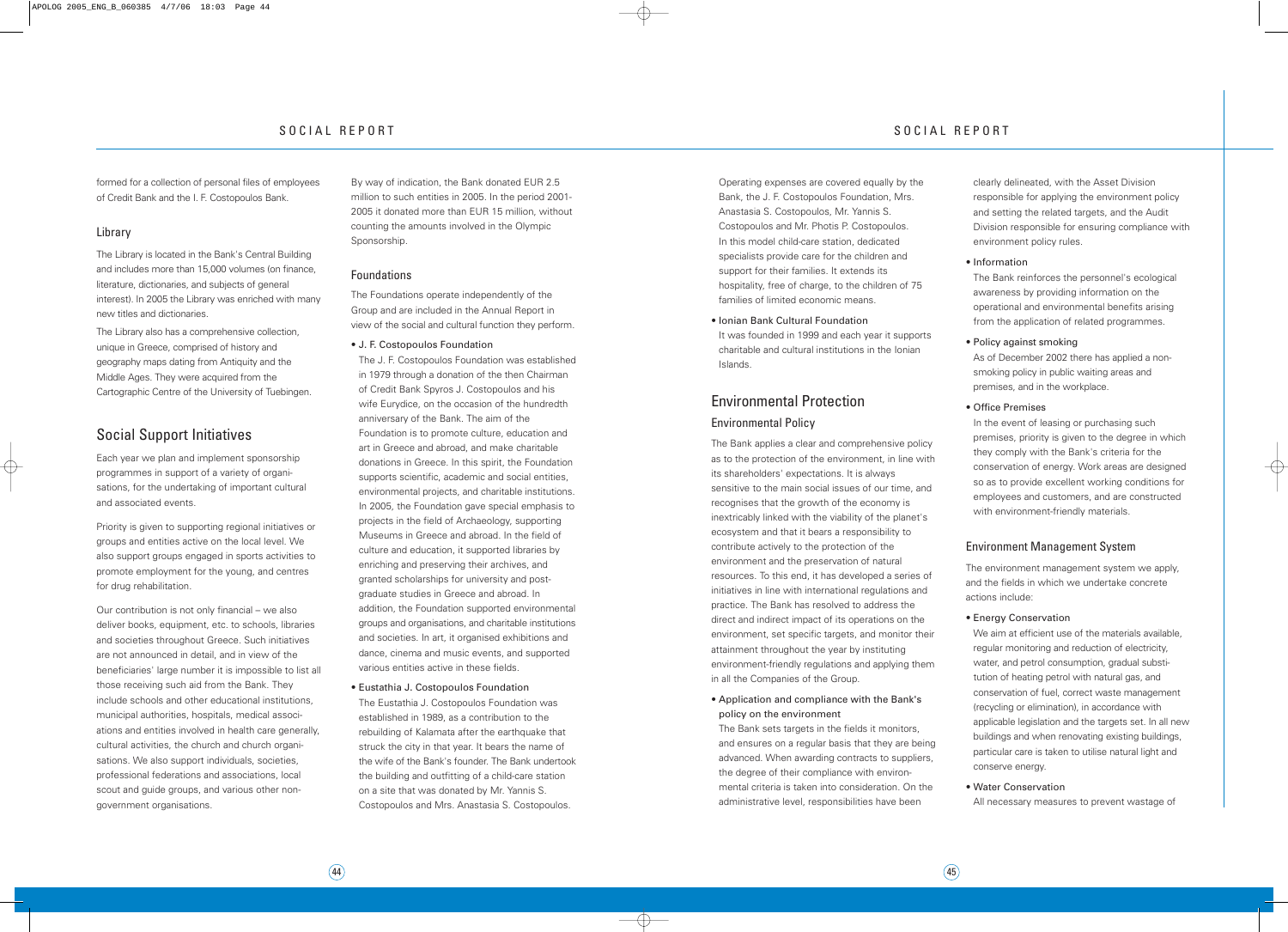Operating expenses are covered equally by the Bank, the J. F. Costopoulos Foundation, Mrs. Anastasia S. Costopoulos, Mr. Yannis S. Costopoulos and Mr. Photis P. Costopoulos. In this model child-care station, dedicated specialists provide care for the children and support for their families. It extends its hospitality, free of charge, to the children of 75 families of limited economic means.

It was founded in 1999 and each year it supports charitable and cultural institutions in the Ionian Islands.

#### • Ionian Bank Cultural Foundation

# Environmental Protection

### Environmental Policy

The Bank applies a clear and comprehensive policy as to the protection of the environment, in line with its shareholders' expectations. It is always sensitive to the main social issues of our time, and recognises that the growth of the economy is inextricably linked with the viability of the planet's ecosystem and that it bears a responsibility to contribute actively to the protection of the environment and the preservation of natural resources. To this end, it has developed a series of initiatives in line with international regulations and practice. The Bank has resolved to address the direct and indirect impact of its operations on the environment, set specific targets, and monitor their attainment throughout the year by instituting environment-friendly regulations and applying them in all the Companies of the Group.

In the event of leasing or purchasing such premises, priority is given to the degree in which they comply with the Bank's criteria for the conservation of energy. Work areas are designed so as to provide excellent working conditions for employees and customers, and are constructed with environment-friendly materials.

• Application and compliance with the Bank's policy on the environment

The Bank sets targets in the fields it monitors, and ensures on a regular basis that they are being advanced. When awarding contracts to suppliers, the degree of their compliance with environmental criteria is taken into consideration. On the administrative level, responsibilities have been

clearly delineated, with the Asset Division responsible for applying the environment policy and setting the related targets, and the Audit Division responsible for ensuring compliance with environment policy rules.

#### • Information

The Bank reinforces the personnel's ecological awareness by providing information on the operational and environmental benefits arising from the application of related programmes.

#### • Policy against smoking

As of December 2002 there has applied a nonsmoking policy in public waiting areas and premises, and in the workplace.

#### • Office Premises

#### Environment Management System

The environment management system we apply, and the fields in which we undertake concrete actions include:

#### • Energy Conservation

We aim at efficient use of the materials available, regular monitoring and reduction of electricity, water, and petrol consumption, gradual substitution of heating petrol with natural gas, and conservation of fuel, correct waste management (recycling or elimination), in accordance with applicable legislation and the targets set. In all new buildings and when renovating existing buildings, particular care is taken to utilise natural light and conserve energy.

• Water Conservation

All necessary measures to prevent wastage of

formed for a collection of personal files of employees of Credit Bank and the I. F. Costopoulos Bank.

#### Library

The Library is located in the Bank's Central Building and includes more than 15,000 volumes (on finance, literature, dictionaries, and subjects of general interest). In 2005 the Library was enriched with many new titles and dictionaries.

The Library also has a comprehensive collection, unique in Greece, comprised of history and geography maps dating from Antiquity and the Middle Ages. They were acquired from the Cartographic Centre of the University of Tuebingen.

## Social Support Initiatives

Each year we plan and implement sponsorship programmes in support of a variety of organisations, for the undertaking of important cultural and associated events.

Priority is given to supporting regional initiatives or groups and entities active on the local level. We also support groups engaged in sports activities to promote employment for the young, and centres for drug rehabilitation.

Our contribution is not only financial – we also deliver books, equipment, etc. to schools, libraries and societies throughout Greece. Such initiatives are not announced in detail, and in view of the beneficiaries' large number it is impossible to list all those receiving such aid from the Bank. They include schools and other educational institutions, municipal authorities, hospitals, medical associations and entities involved in health care generally, cultural activities, the church and church organisations. We also support individuals, societies, professional federations and associations, local scout and guide groups, and various other nongovernment organisations.

By way of indication, the Bank donated EUR 2.5 million to such entities in 2005. In the period 2001- 2005 it donated more than EUR 15 million, without counting the amounts involved in the Olympic Sponsorship.

#### Foundations

The Foundations operate independently of the Group and are included in the Annual Report in view of the social and cultural function they perform.

• J. F. Costopoulos Foundation

The J. F. Costopoulos Foundation was established in 1979 through a donation of the then Chairman of Credit Bank Spyros J. Costopoulos and his wife Eurydice, on the occasion of the hundredth anniversary of the Bank. The aim of the Foundation is to promote culture, education and art in Greece and abroad, and make charitable donations in Greece. In this spirit, the Foundation supports scientific, academic and social entities, environmental projects, and charitable institutions. In 2005, the Foundation gave special emphasis to projects in the field of Archaeology, supporting Museums in Greece and abroad. In the field of culture and education, it supported libraries by enriching and preserving their archives, and granted scholarships for university and postgraduate studies in Greece and abroad. In addition, the Foundation supported environmental groups and organisations, and charitable institutions and societies. In art, it organised exhibitions and dance, cinema and music events, and supported various entities active in these fields.

• Eustathia J. Costopoulos Foundation

The Eustathia J. Costopoulos Foundation was established in 1989, as a contribution to the rebuilding of Kalamata after the earthquake that struck the city in that year. It bears the name of the wife of the Bank's founder. The Bank undertook the building and outfitting of a child-care station on a site that was donated by Mr. Yannis S. Costopoulos and Mrs. Anastasia S. Costopoulos.